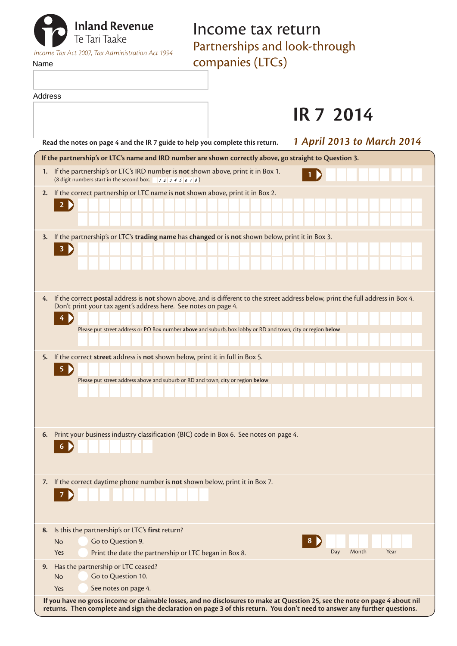| <b>The Tari Taake</b>                            | Income tax return             |
|--------------------------------------------------|-------------------------------|
| Income Tax Act 2007, Tax Administration Act 1994 | Partnerships and look-through |
| Name                                             | companies (LTCs)              |
|                                                  |                               |

Address

|    | <b>IR 7 2014</b>                                                                                                                                                                                                                                                                                                      |
|----|-----------------------------------------------------------------------------------------------------------------------------------------------------------------------------------------------------------------------------------------------------------------------------------------------------------------------|
|    | <b>1 April 2013 to March 2014</b><br>Read the notes on page 4 and the IR 7 guide to help you complete this return.                                                                                                                                                                                                    |
|    | If the partnership's or LTC's name and IRD number are shown correctly above, go straight to Question 3.                                                                                                                                                                                                               |
|    | 1. If the partnership's or LTC's IRD number is not shown above, print it in Box 1.                                                                                                                                                                                                                                    |
|    | 2. If the correct partnership or LTC name is not shown above, print it in Box 2.<br>2 D                                                                                                                                                                                                                               |
|    | 3. If the partnership's or LTC's trading name has changed or is not shown below, print it in Box 3.<br>$\mathbf{3}$                                                                                                                                                                                                   |
|    | 4. If the correct postal address is not shown above, and is different to the street address below, print the full address in Box 4.<br>Don't print your tax agent's address here. See notes on page 4.<br>Please put street address or PO Box number above and suburb, box lobby or RD and town, city or region below |
|    | 5. If the correct street address is not shown below, print it in full in Box 5.<br>5<br>Please put street address above and suburb or RD and town, city or region below                                                                                                                                               |
|    | 6. Print your business industry classification (BIC) code in Box 6. See notes on page 4.<br>6 D                                                                                                                                                                                                                       |
|    | 7. If the correct daytime phone number is not shown below, print it in Box 7.                                                                                                                                                                                                                                         |
| 8. | Is this the partnership's or LTC's first return?<br>Go to Question 9.<br>8<br><b>No</b><br>Month<br>Year<br>Print the date the partnership or LTC began in Box 8.<br>Day<br>Yes                                                                                                                                       |
| 9. | Has the partnership or LTC ceased?<br>Go to Question 10.<br><b>No</b>                                                                                                                                                                                                                                                 |

Yes See notes on page 4.

**If you have no gross income or claimable losses, and no disclosures to make at Question 25, see the note on page 4 about nil returns. Then complete and sign the declaration on page 3 of this return. You don't need to answer any further questions.**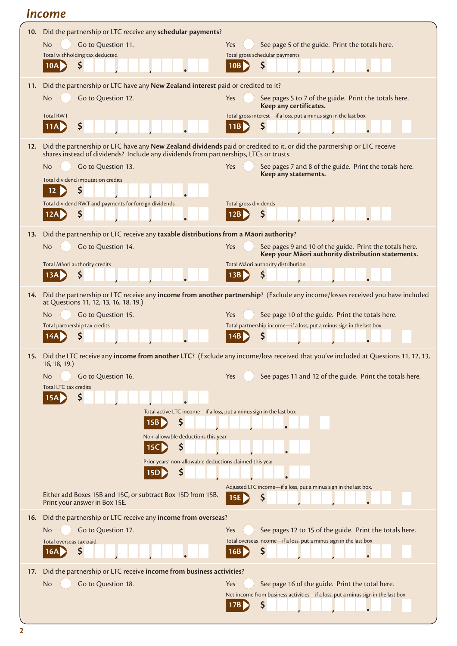# *Income*

| 10. | Did the partnership or LTC receive any schedular payments?                                                                                                                                                       |                                                                                                                                      |
|-----|------------------------------------------------------------------------------------------------------------------------------------------------------------------------------------------------------------------|--------------------------------------------------------------------------------------------------------------------------------------|
|     | <b>No</b><br>Go to Question 11.                                                                                                                                                                                  | See page 5 of the guide. Print the totals here.<br>Yes                                                                               |
|     | Total withholding tax deducted<br>S<br>10A                                                                                                                                                                       | Total gross schedular payments<br>\$<br>10B                                                                                          |
|     |                                                                                                                                                                                                                  |                                                                                                                                      |
| 11. | Did the partnership or LTC have any New Zealand interest paid or credited to it?<br>Go to Question 12.<br><b>No</b>                                                                                              | Yes<br>See pages 5 to 7 of the guide. Print the totals here.                                                                         |
|     |                                                                                                                                                                                                                  | Keep any certificates.                                                                                                               |
|     | <b>Total RWT</b><br>\$                                                                                                                                                                                           | Total gross interest-if a loss, put a minus sign in the last box<br>11B<br>Ş                                                         |
|     |                                                                                                                                                                                                                  |                                                                                                                                      |
| 12. | Did the partnership or LTC have any New Zealand dividends paid or credited to it, or did the partnership or LTC receive<br>shares instead of dividends? Include any dividends from partnerships, LTCs or trusts. |                                                                                                                                      |
|     | Go to Question 13.<br>No                                                                                                                                                                                         | Yes<br>See pages 7 and 8 of the guide. Print the totals here.                                                                        |
|     | Total dividend imputation credits                                                                                                                                                                                | Keep any statements.                                                                                                                 |
|     | S<br>12                                                                                                                                                                                                          |                                                                                                                                      |
|     | Total dividend RWT and payments for foreign dividends<br>\$<br>12A                                                                                                                                               | Total gross dividends<br>\$<br>12B                                                                                                   |
|     |                                                                                                                                                                                                                  |                                                                                                                                      |
| 13. | Did the partnership or LTC receive any taxable distributions from a Māori authority?<br>No                                                                                                                       | Yes                                                                                                                                  |
|     | Go to Question 14.                                                                                                                                                                                               | See pages 9 and 10 of the guide. Print the totals here.<br>Keep your Māori authority distribution statements.                        |
|     | Total Māori authority credits<br>S<br>13A                                                                                                                                                                        | Total Māori authority distribution<br>\$<br>13B                                                                                      |
|     |                                                                                                                                                                                                                  |                                                                                                                                      |
| 14. | at Questions 11, 12, 13, 16, 18, 19.)                                                                                                                                                                            | Did the partnership or LTC receive any income from another partnership? (Exclude any income/losses received you have included        |
|     | Go to Question 15.<br>No                                                                                                                                                                                         | See page 10 of the guide. Print the totals here.<br>Yes                                                                              |
|     | Total partnership tax credits                                                                                                                                                                                    | Total partnership income-if a loss, put a minus sign in the last box                                                                 |
|     |                                                                                                                                                                                                                  | Ş<br>14B                                                                                                                             |
|     | 16, 18, 19.)                                                                                                                                                                                                     | 15. Did the LTC receive any income from another LTC? (Exclude any income/loss received that you've included at Questions 11, 12, 13, |
|     | Go to Question 16.<br>No                                                                                                                                                                                         | See pages 11 and 12 of the guide. Print the totals here.<br>Yes                                                                      |
|     | Total LTC tax credits                                                                                                                                                                                            |                                                                                                                                      |
|     | 15A                                                                                                                                                                                                              |                                                                                                                                      |
|     | Total active LTC income-if a loss, put a minus sign in the last box<br>\$<br>15B                                                                                                                                 |                                                                                                                                      |
|     | Non-allowable deductions this year                                                                                                                                                                               |                                                                                                                                      |
|     | \$.<br>15C                                                                                                                                                                                                       |                                                                                                                                      |
|     | Prior years' non-allowable deductions claimed this year                                                                                                                                                          |                                                                                                                                      |
|     | S<br>15D                                                                                                                                                                                                         |                                                                                                                                      |
|     | Either add Boxes 15B and 15C, or subtract Box 15D from 15B.                                                                                                                                                      | Adjusted LTC income-if a loss, put a minus sign in the last box.<br>\$<br>15E                                                        |
| 16. | Print your answer in Box 15E.<br>Did the partnership or LTC receive any income from overseas?                                                                                                                    |                                                                                                                                      |
|     | Go to Question 17.<br>No                                                                                                                                                                                         | See pages 12 to 15 of the guide. Print the totals here.<br>Yes                                                                       |
|     | Total overseas tax paid                                                                                                                                                                                          | Total overseas income-if a loss, put a minus sign in the last box                                                                    |
|     | \$<br>16A                                                                                                                                                                                                        | \$<br>16B                                                                                                                            |
| 17. | Did the partnership or LTC receive income from business activities?                                                                                                                                              |                                                                                                                                      |
|     | Go to Question 18.<br>No                                                                                                                                                                                         | See page 16 of the guide. Print the total here.<br>Yes                                                                               |
|     |                                                                                                                                                                                                                  | Net income from business activities-if a loss, put a minus sign in the last box<br>Ş<br>17B                                          |
|     |                                                                                                                                                                                                                  |                                                                                                                                      |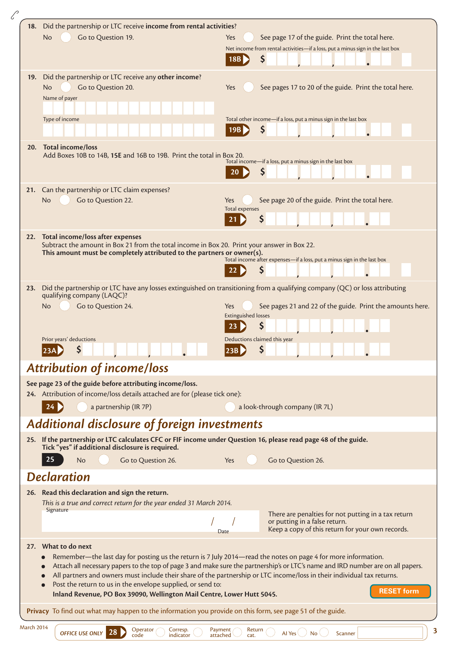| 18. |                                                                                                                                                                       |                                                                                                                                  |
|-----|-----------------------------------------------------------------------------------------------------------------------------------------------------------------------|----------------------------------------------------------------------------------------------------------------------------------|
|     | Did the partnership or LTC receive income from rental activities?                                                                                                     |                                                                                                                                  |
|     | <b>No</b><br>Go to Question 19.                                                                                                                                       | See page 17 of the guide. Print the total here.<br>Yes                                                                           |
|     |                                                                                                                                                                       | Net income from rental activities-if a loss, put a minus sign in the last box                                                    |
|     |                                                                                                                                                                       | \$<br>18B                                                                                                                        |
|     | Did the partnership or LTC receive any other income?                                                                                                                  |                                                                                                                                  |
| 19. | Go to Question 20.<br>No.                                                                                                                                             | See pages 17 to 20 of the guide. Print the total here.<br>Yes                                                                    |
|     | Name of payer                                                                                                                                                         |                                                                                                                                  |
|     |                                                                                                                                                                       |                                                                                                                                  |
|     | Type of income                                                                                                                                                        | Total other income-if a loss, put a minus sign in the last box                                                                   |
|     |                                                                                                                                                                       | \$<br>19B                                                                                                                        |
|     |                                                                                                                                                                       |                                                                                                                                  |
|     | 20. Total income/loss                                                                                                                                                 |                                                                                                                                  |
|     | Add Boxes 10B to 14B, 15E and 16B to 19B. Print the total in Box 20.                                                                                                  | Total income-if a loss, put a minus sign in the last box                                                                         |
|     |                                                                                                                                                                       | S                                                                                                                                |
|     |                                                                                                                                                                       |                                                                                                                                  |
| 21. | Can the partnership or LTC claim expenses?                                                                                                                            |                                                                                                                                  |
|     | No<br>Go to Question 22.                                                                                                                                              | See page 20 of the guide. Print the total here.<br>Yes<br><b>Total expenses</b>                                                  |
|     |                                                                                                                                                                       | \$                                                                                                                               |
|     |                                                                                                                                                                       |                                                                                                                                  |
|     | 22. Total income/loss after expenses                                                                                                                                  |                                                                                                                                  |
|     | Subtract the amount in Box 21 from the total income in Box 20. Print your answer in Box 22.<br>This amount must be completely attributed to the partners or owner(s). |                                                                                                                                  |
|     |                                                                                                                                                                       | Total income after expenses-if a loss, put a minus sign in the last box                                                          |
|     |                                                                                                                                                                       | Ş                                                                                                                                |
|     |                                                                                                                                                                       |                                                                                                                                  |
| 23. | qualifying company (LAQC)?                                                                                                                                            | Did the partnership or LTC have any losses extinguished on transitioning from a qualifying company (QC) or loss attributing      |
|     | Go to Question 24.<br><b>No</b>                                                                                                                                       | See pages 21 and 22 of the guide. Print the amounts here.<br><b>Yes</b>                                                          |
|     |                                                                                                                                                                       | <b>Extinguished losses</b>                                                                                                       |
|     |                                                                                                                                                                       | Ş<br>23                                                                                                                          |
|     | Prior years' deductions                                                                                                                                               | Deductions claimed this year                                                                                                     |
|     | \$<br>$ 23A\rangle$<br><u>in the state of the state of the state of the state of the state of the state of the state of the state of the </u>                         | $\sim$ $\mid$<br>23B                                                                                                             |
|     |                                                                                                                                                                       |                                                                                                                                  |
|     |                                                                                                                                                                       |                                                                                                                                  |
|     | <b>Attribution of income/loss</b>                                                                                                                                     |                                                                                                                                  |
|     | See page 23 of the guide before attributing income/loss.                                                                                                              |                                                                                                                                  |
|     | 24. Attribution of income/loss details attached are for (please tick one):                                                                                            |                                                                                                                                  |
|     | a partnership (IR 7P)                                                                                                                                                 | a look-through company (IR 7L)                                                                                                   |
|     |                                                                                                                                                                       |                                                                                                                                  |
|     | <b>Additional disclosure of foreign investments</b>                                                                                                                   |                                                                                                                                  |
|     | 25. If the partnership or LTC calculates CFC or FIF income under Question 16, please read page 48 of the guide.<br>Tick "yes" if additional disclosure is required.   |                                                                                                                                  |
|     | 25<br>No                                                                                                                                                              | Yes                                                                                                                              |
|     | Go to Question 26.                                                                                                                                                    | Go to Question 26.                                                                                                               |
|     | <b>Declaration</b>                                                                                                                                                    |                                                                                                                                  |
|     | 26. Read this declaration and sign the return.                                                                                                                        |                                                                                                                                  |
|     | This is a true and correct return for the year ended 31 March 2014.                                                                                                   |                                                                                                                                  |
|     | Signature                                                                                                                                                             | There are penalties for not putting in a tax return                                                                              |
|     |                                                                                                                                                                       | or putting in a false return.                                                                                                    |
|     |                                                                                                                                                                       | Keep a copy of this return for your own records.<br>Date                                                                         |
|     | 27. What to do next                                                                                                                                                   |                                                                                                                                  |
|     |                                                                                                                                                                       | Remember—the last day for posting us the return is 7 July 2014—read the notes on page 4 for more information.                    |
|     |                                                                                                                                                                       | Attach all necessary papers to the top of page 3 and make sure the partnership's or LTC's name and IRD number are on all papers. |
|     |                                                                                                                                                                       | All partners and owners must include their share of the partnership or LTC income/loss in their individual tax returns.          |
|     | Post the return to us in the envelope supplied, or send to:<br>Inland Revenue, PO Box 39090, Wellington Mail Centre, Lower Hutt 5045.                                 | <b>RESET form</b>                                                                                                                |
|     |                                                                                                                                                                       |                                                                                                                                  |
|     | Privacy To find out what may happen to the information you provide on this form, see page 51 of the guide.                                                            |                                                                                                                                  |